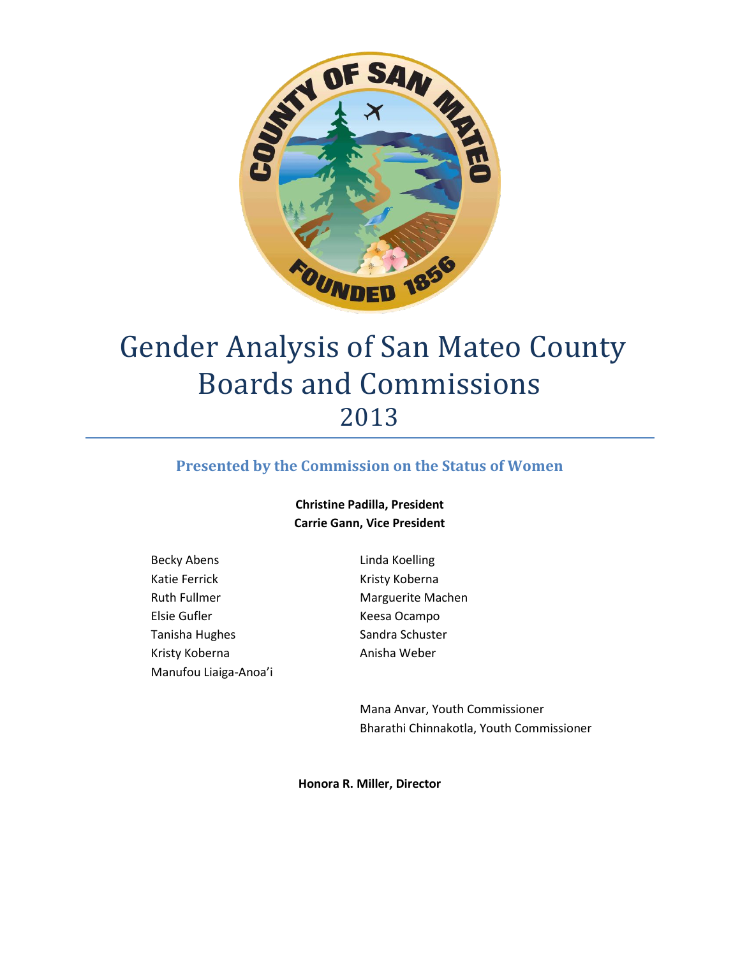

# Gender Analysis of San Mateo County Boards and Commissions 2013

## **Presented by the Commission on the Status of Women**

#### **Christine Padilla, President Carrie Gann, Vice President**

- Becky Abens Katie Ferrick Ruth Fullmer Elsie Gufler Tanisha Hughes Kristy Koberna Manufou Liaiga-Anoa'i
- Linda Koelling Kristy Koberna Marguerite Machen Keesa Ocampo Sandra Schuster Anisha Weber

Mana Anvar, Youth Commissioner Bharathi Chinnakotla, Youth Commissioner

**Honora R. Miller, Director**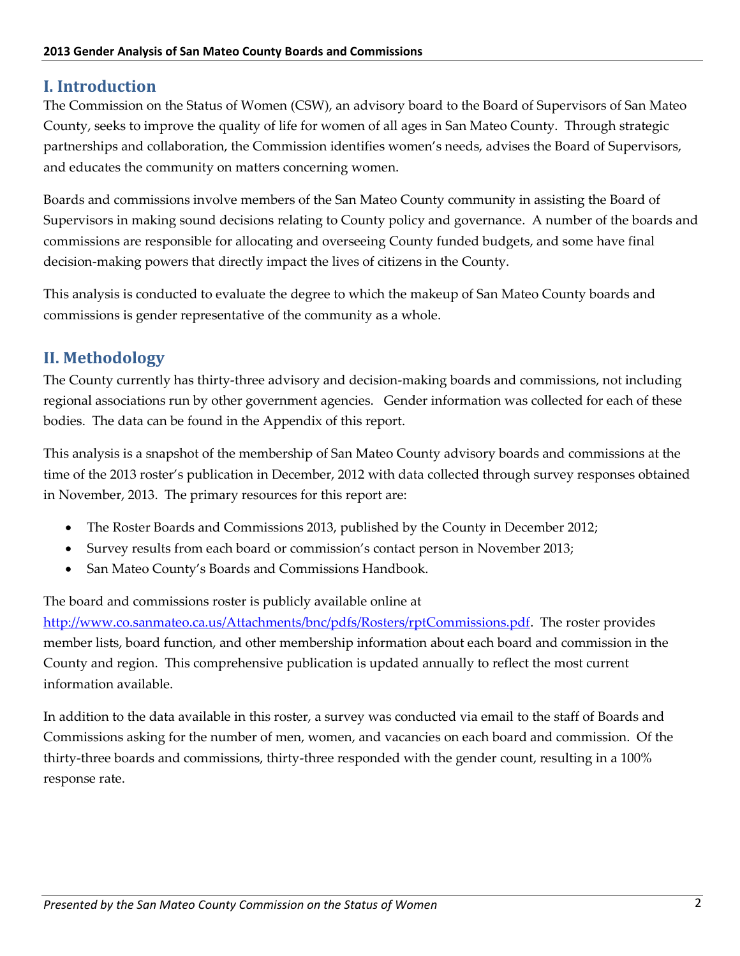# **I. Introduction**

The Commission on the Status of Women (CSW), an advisory board to the Board of Supervisors of San Mateo County, seeks to improve the quality of life for women of all ages in San Mateo County. Through strategic partnerships and collaboration, the Commission identifies women's needs, advises the Board of Supervisors, and educates the community on matters concerning women.

Boards and commissions involve members of the San Mateo County community in assisting the Board of Supervisors in making sound decisions relating to County policy and governance. A number of the boards and commissions are responsible for allocating and overseeing County funded budgets, and some have final decision-making powers that directly impact the lives of citizens in the County.

This analysis is conducted to evaluate the degree to which the makeup of San Mateo County boards and commissions is gender representative of the community as a whole.

# **II. Methodology**

The County currently has thirty-three advisory and decision-making boards and commissions, not including regional associations run by other government agencies. Gender information was collected for each of these bodies. The data can be found in the Appendix of this report.

This analysis is a snapshot of the membership of San Mateo County advisory boards and commissions at the time of the 2013 roster's publication in December, 2012 with data collected through survey responses obtained in November, 2013. The primary resources for this report are:

- The Roster Boards and Commissions 2013, published by the County in December 2012;
- Survey results from each board or commission's contact person in November 2013;
- San Mateo County's Boards and Commissions Handbook.

The board and commissions roster is publicly available online at

[http://www.co.sanmateo.ca.us/Attachments/bnc/pdfs/Rosters/rptCommissions.pdf.](http://www.co.sanmateo.ca.us/Attachments/bnc/pdfs/Rosters/rptCommissions.pdf) The roster provides member lists, board function, and other membership information about each board and commission in the County and region. This comprehensive publication is updated annually to reflect the most current information available.

In addition to the data available in this roster, a survey was conducted via email to the staff of Boards and Commissions asking for the number of men, women, and vacancies on each board and commission. Of the thirty-three boards and commissions, thirty-three responded with the gender count, resulting in a 100% response rate.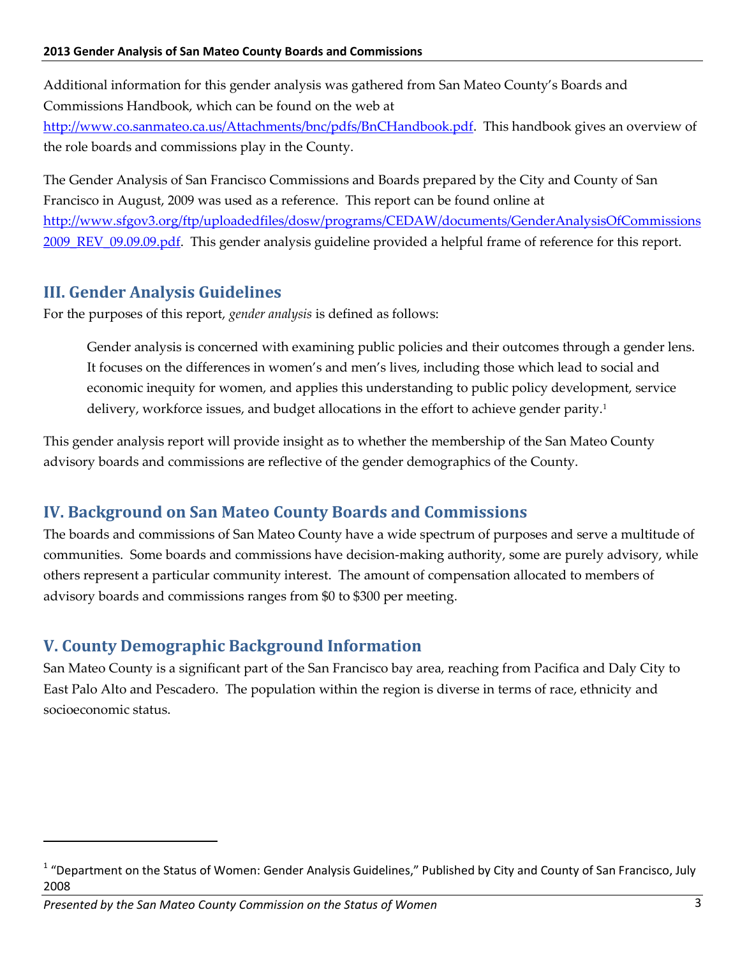Additional information for this gender analysis was gathered from San Mateo County's Boards and Commissions Handbook, which can be found on the web at

[http://www.co.sanmateo.ca.us/Attachments/bnc/pdfs/BnCHandbook.pdf.](http://www.co.sanmateo.ca.us/Attachments/bnc/pdfs/BnCHandbook.pdf) This handbook gives an overview of the role boards and commissions play in the County.

The Gender Analysis of San Francisco Commissions and Boards prepared by the City and County of San Francisco in August, 2009 was used as a reference. This report can be found online at [http://www.sfgov3.org/ftp/uploadedfiles/dosw/programs/CEDAW/documents/GenderAnalysisOfCommissions](http://www.sfgov3.org/ftp/uploadedfiles/dosw/programs/CEDAW/documents/GenderAnalysisOfCommissions2009_REV_09.09.09.pdf) [2009\\_REV\\_09.09.09.pdf.](http://www.sfgov3.org/ftp/uploadedfiles/dosw/programs/CEDAW/documents/GenderAnalysisOfCommissions2009_REV_09.09.09.pdf) This gender analysis guideline provided a helpful frame of reference for this report.

# **III. Gender Analysis Guidelines**

For the purposes of this report, *gender analysis* is defined as follows:

Gender analysis is concerned with examining public policies and their outcomes through a gender lens. It focuses on the differences in women's and men's lives, including those which lead to social and economic inequity for women, and applies this understanding to public policy development, service delivery, workforce issues, and budget allocations in the effort to achieve gender parity.<sup>1</sup>

This gender analysis report will provide insight as to whether the membership of the San Mateo County advisory boards and commissions are reflective of the gender demographics of the County.

# **IV. Background on San Mateo County Boards and Commissions**

The boards and commissions of San Mateo County have a wide spectrum of purposes and serve a multitude of communities. Some boards and commissions have decision-making authority, some are purely advisory, while others represent a particular community interest. The amount of compensation allocated to members of advisory boards and commissions ranges from \$0 to \$300 per meeting.

# **V. County Demographic Background Information**

San Mateo County is a significant part of the San Francisco bay area, reaching from Pacifica and Daly City to East Palo Alto and Pescadero. The population within the region is diverse in terms of race, ethnicity and socioeconomic status.

 $\overline{a}$ 

<sup>&</sup>lt;sup>1</sup> "Department on the Status of Women: Gender Analysis Guidelines," Published by City and County of San Francisco, July 2008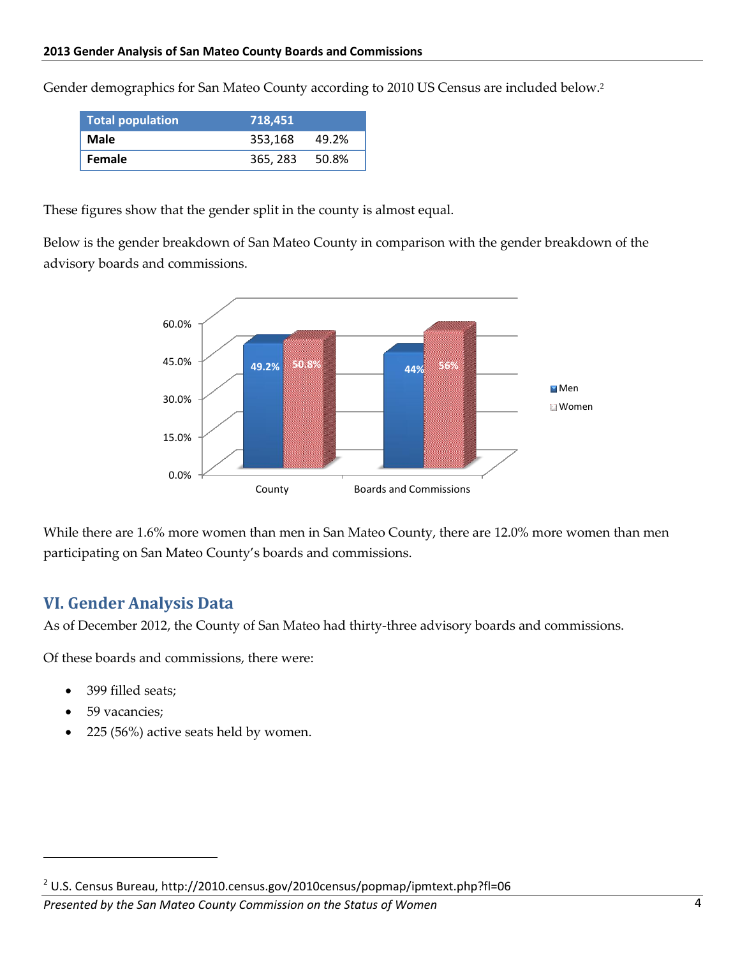Gender demographics for San Mateo County according to 2010 US Census are included below.<sup>2</sup>

| <b>Total population</b> | 718.451  |        |
|-------------------------|----------|--------|
| Male                    | 353.168  | 49.2%  |
| <b>Female</b>           | 365, 283 | -50.8% |

These figures show that the gender split in the county is almost equal.

Below is the gender breakdown of San Mateo County in comparison with the gender breakdown of the advisory boards and commissions.



While there are 1.6% more women than men in San Mateo County, there are 12.0% more women than men participating on San Mateo County's boards and commissions.

## **VI. Gender Analysis Data**

As of December 2012, the County of San Mateo had thirty-three advisory boards and commissions.

Of these boards and commissions, there were:

- 399 filled seats;
- 59 vacancies;

 $\overline{a}$ 

225 (56%) active seats held by women.

*Presented by the San Mateo County Commission on the Status of Women* 4

<sup>&</sup>lt;sup>2</sup> U.S. Census Bureau, http://2010.census.gov/2010census/popmap/ipmtext.php?fl=06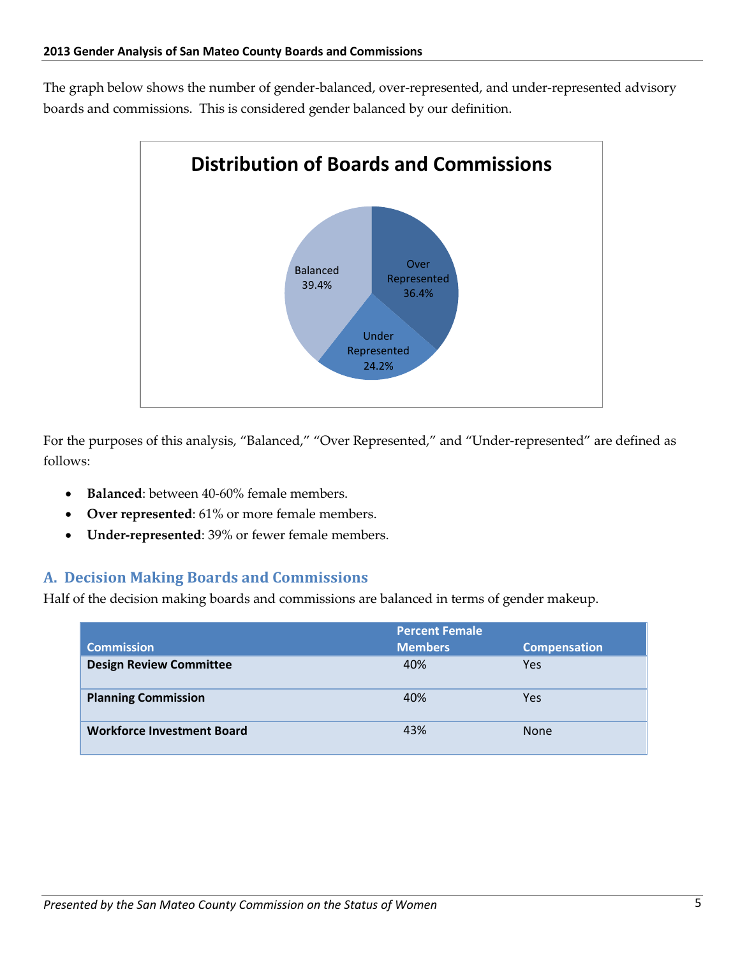The graph below shows the number of gender-balanced, over-represented, and under-represented advisory boards and commissions. This is considered gender balanced by our definition.



For the purposes of this analysis, "Balanced," "Over Represented," and "Under-represented" are defined as follows:

- **Balanced**: between 40-60% female members.
- **Over represented**: 61% or more female members.
- **Under-represented**: 39% or fewer female members.

## **A. Decision Making Boards and Commissions**

Half of the decision making boards and commissions are balanced in terms of gender makeup.

| <b>Commission</b>                 | <b>Percent Female</b><br><b>Members</b> | <b>Compensation</b> |
|-----------------------------------|-----------------------------------------|---------------------|
| <b>Design Review Committee</b>    | 40%                                     | Yes                 |
| <b>Planning Commission</b>        | 40%                                     | Yes                 |
| <b>Workforce Investment Board</b> | 43%                                     | <b>None</b>         |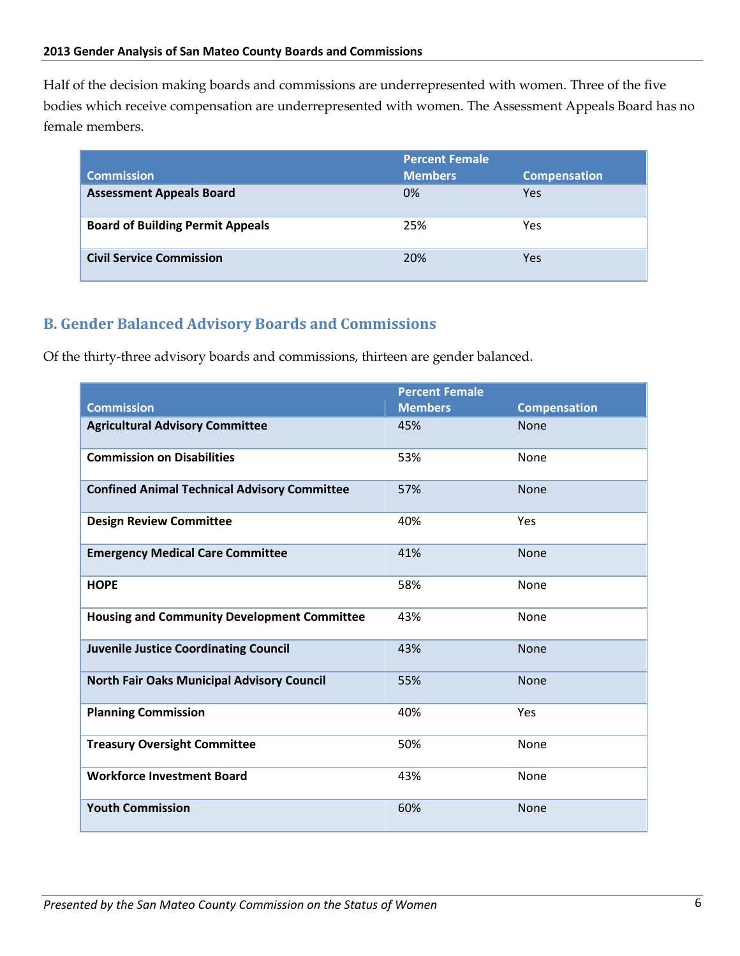Half of the decision making boards and commissions are underrepresented with women. Three of the five bodies which receive compensation are underrepresented with women. The Assessment Appeals Board has no female members.

|                                         | <b>Percent Female</b> |                     |
|-----------------------------------------|-----------------------|---------------------|
| <b>Commission</b>                       | <b>Members</b>        | <b>Compensation</b> |
| <b>Assessment Appeals Board</b>         | 0%                    | Yes                 |
| <b>Board of Building Permit Appeals</b> | 25%                   | Yes                 |
| <b>Civil Service Commission</b>         | 20%                   | Yes                 |

## **B. Gender Balanced Advisory Boards and Commissions**

Of the thirty-three advisory boards and commissions, thirteen are gender balanced.

| <b>Commission</b>                                   | <b>Percent Female</b><br><b>Members</b> | <b>Compensation</b> |
|-----------------------------------------------------|-----------------------------------------|---------------------|
| <b>Agricultural Advisory Committee</b>              | 45%                                     | <b>None</b>         |
|                                                     |                                         |                     |
| <b>Commission on Disabilities</b>                   | 53%                                     | None                |
| <b>Confined Animal Technical Advisory Committee</b> | 57%                                     | <b>None</b>         |
| <b>Design Review Committee</b>                      | 40%                                     | Yes                 |
| <b>Emergency Medical Care Committee</b>             | 41%                                     | <b>None</b>         |
| <b>HOPE</b>                                         | 58%                                     | None                |
| <b>Housing and Community Development Committee</b>  | 43%                                     | None                |
| <b>Juvenile Justice Coordinating Council</b>        | 43%                                     | None                |
| <b>North Fair Oaks Municipal Advisory Council</b>   | 55%                                     | None                |
| <b>Planning Commission</b>                          | 40%                                     | Yes                 |
| <b>Treasury Oversight Committee</b>                 | 50%                                     | None                |
| <b>Workforce Investment Board</b>                   | 43%                                     | None                |
| <b>Youth Commission</b>                             | 60%                                     | None                |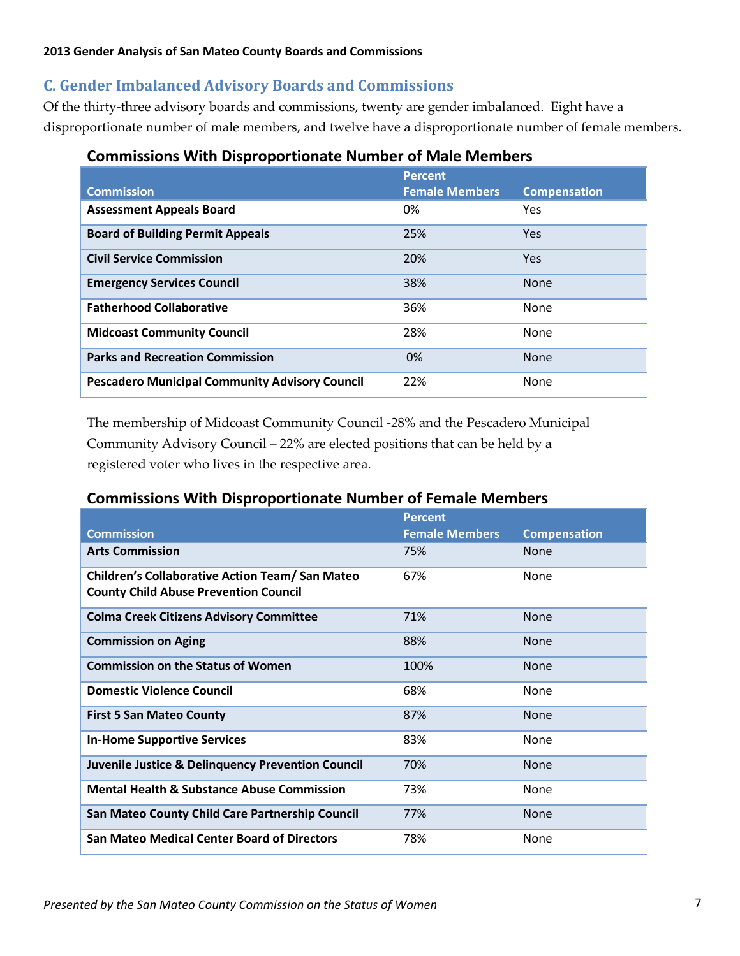## **C. Gender Imbalanced Advisory Boards and Commissions**

Of the thirty-three advisory boards and commissions, twenty are gender imbalanced. Eight have a disproportionate number of male members, and twelve have a disproportionate number of female members.

## **Commissions With Disproportionate Number of Male Members**

|                                                       | <b>Percent</b>        |                     |
|-------------------------------------------------------|-----------------------|---------------------|
| <b>Commission</b>                                     | <b>Female Members</b> | <b>Compensation</b> |
| <b>Assessment Appeals Board</b>                       | 0%                    | Yes                 |
| <b>Board of Building Permit Appeals</b>               | 25%                   | Yes                 |
| <b>Civil Service Commission</b>                       | 20%                   | Yes                 |
| <b>Emergency Services Council</b>                     | 38%                   | <b>None</b>         |
| <b>Fatherhood Collaborative</b>                       | 36%                   | <b>None</b>         |
| <b>Midcoast Community Council</b>                     | 28%                   | <b>None</b>         |
| <b>Parks and Recreation Commission</b>                | 0%                    | <b>None</b>         |
| <b>Pescadero Municipal Community Advisory Council</b> | 22%                   | <b>None</b>         |

The membership of Midcoast Community Council -28% and the Pescadero Municipal Community Advisory Council – 22% are elected positions that can be held by a registered voter who lives in the respective area.

## **Commissions With Disproportionate Number of Female Members**

|                                                                                                        | <b>Percent</b>        |                     |
|--------------------------------------------------------------------------------------------------------|-----------------------|---------------------|
| <b>Commission</b>                                                                                      | <b>Female Members</b> | <b>Compensation</b> |
| <b>Arts Commission</b>                                                                                 | 75%                   | <b>None</b>         |
| <b>Children's Collaborative Action Team/ San Mateo</b><br><b>County Child Abuse Prevention Council</b> | 67%                   | <b>None</b>         |
| <b>Colma Creek Citizens Advisory Committee</b>                                                         | 71%                   | <b>None</b>         |
| <b>Commission on Aging</b>                                                                             | 88%                   | <b>None</b>         |
| <b>Commission on the Status of Women</b>                                                               | 100%                  | <b>None</b>         |
| <b>Domestic Violence Council</b>                                                                       | 68%                   | <b>None</b>         |
| <b>First 5 San Mateo County</b>                                                                        | 87%                   | <b>None</b>         |
| <b>In-Home Supportive Services</b>                                                                     | 83%                   | <b>None</b>         |
| <b>Juvenile Justice &amp; Delinquency Prevention Council</b>                                           | 70%                   | <b>None</b>         |
| <b>Mental Health &amp; Substance Abuse Commission</b>                                                  | 73%                   | <b>None</b>         |
| San Mateo County Child Care Partnership Council                                                        | 77%                   | <b>None</b>         |
| <b>San Mateo Medical Center Board of Directors</b>                                                     | 78%                   | <b>None</b>         |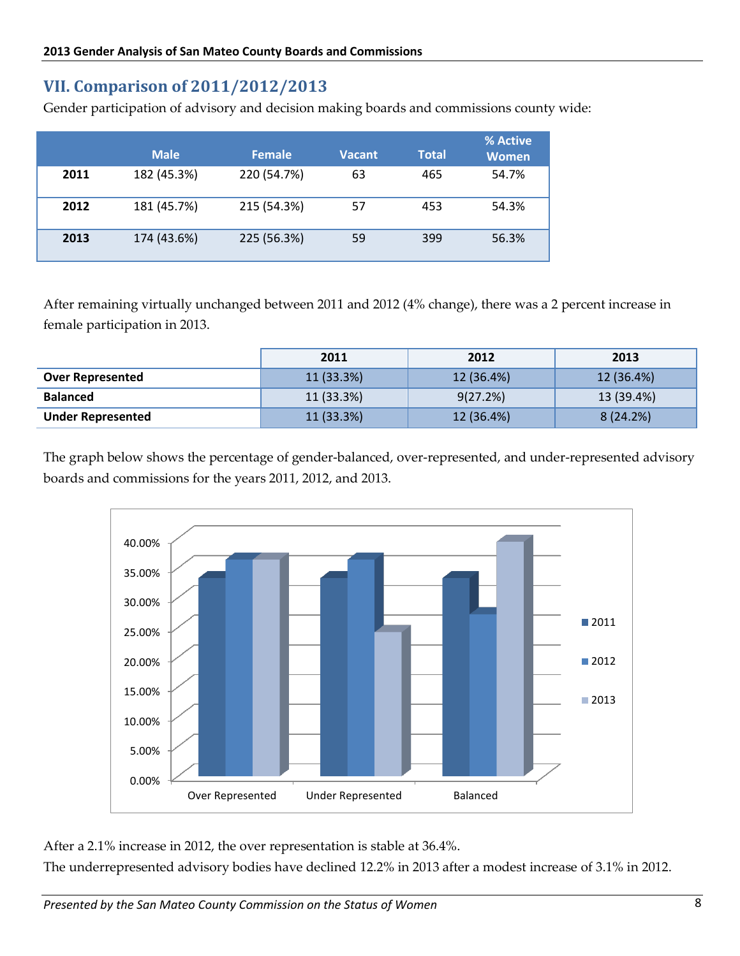# **VII. Comparison of 2011/2012/2013**

Gender participation of advisory and decision making boards and commissions county wide:

|      | <b>Male</b> | <b>Female</b> | <b>Vacant</b> | <b>Total</b> | % Active<br><b>Women</b> |
|------|-------------|---------------|---------------|--------------|--------------------------|
| 2011 | 182 (45.3%) | 220 (54.7%)   | 63            | 465          | 54.7%                    |
| 2012 | 181 (45.7%) | 215 (54.3%)   | 57            | 453          | 54.3%                    |
| 2013 | 174 (43.6%) | 225 (56.3%)   | 59            | 399          | 56.3%                    |

After remaining virtually unchanged between 2011 and 2012 (4% change), there was a 2 percent increase in female participation in 2013.

|                          | 2011       | 2012       | 2013       |
|--------------------------|------------|------------|------------|
| <b>Over Represented</b>  | 11 (33.3%) | 12 (36.4%) | 12 (36.4%) |
| <b>Balanced</b>          | 11 (33.3%) | 9(27.2%)   | 13 (39.4%) |
| <b>Under Represented</b> | 11 (33.3%) | 12 (36.4%) | 8(24.2%)   |

The graph below shows the percentage of gender-balanced, over-represented, and under-represented advisory boards and commissions for the years 2011, 2012, and 2013.



After a 2.1% increase in 2012, the over representation is stable at 36.4%.

The underrepresented advisory bodies have declined 12.2% in 2013 after a modest increase of 3.1% in 2012.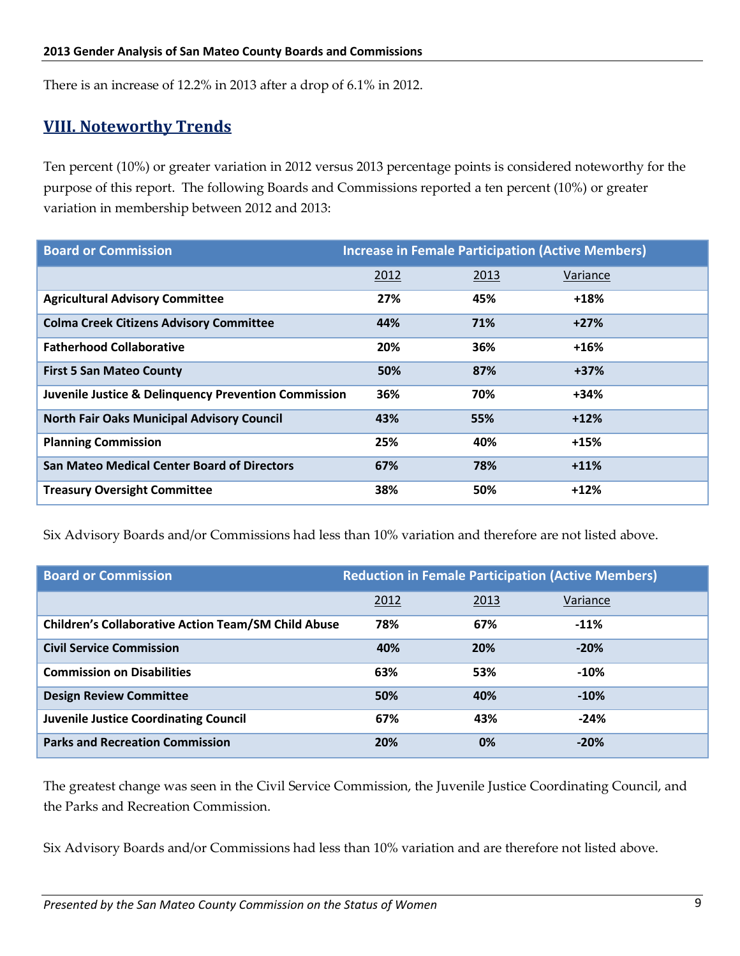There is an increase of 12.2% in 2013 after a drop of 6.1% in 2012.

## **VIII. Noteworthy Trends**

Ten percent (10%) or greater variation in 2012 versus 2013 percentage points is considered noteworthy for the purpose of this report. The following Boards and Commissions reported a ten percent (10%) or greater variation in membership between 2012 and 2013:

| <b>Board or Commission</b>                                      | <b>Increase in Female Participation (Active Members)</b> |      |          |  |  |
|-----------------------------------------------------------------|----------------------------------------------------------|------|----------|--|--|
|                                                                 | 2012                                                     | 2013 | Variance |  |  |
| <b>Agricultural Advisory Committee</b>                          | 27%                                                      | 45%  | +18%     |  |  |
| <b>Colma Creek Citizens Advisory Committee</b>                  | 44%                                                      | 71%  | $+27%$   |  |  |
| <b>Fatherhood Collaborative</b>                                 | 20%                                                      | 36%  | +16%     |  |  |
| <b>First 5 San Mateo County</b>                                 | 50%                                                      | 87%  | $+37%$   |  |  |
| <b>Juvenile Justice &amp; Delinguency Prevention Commission</b> | 36%                                                      | 70%  | $+34%$   |  |  |
| <b>North Fair Oaks Municipal Advisory Council</b>               | 43%                                                      | 55%  | $+12%$   |  |  |
| <b>Planning Commission</b>                                      | 25%                                                      | 40%  | $+15%$   |  |  |
| <b>San Mateo Medical Center Board of Directors</b>              | 67%                                                      | 78%  | $+11%$   |  |  |
| <b>Treasury Oversight Committee</b>                             | 38%                                                      | 50%  | $+12%$   |  |  |

Six Advisory Boards and/or Commissions had less than 10% variation and therefore are not listed above.

| <b>Board or Commission</b>                                 | <b>Reduction in Female Participation (Active Members)</b> |      |          |  |  |
|------------------------------------------------------------|-----------------------------------------------------------|------|----------|--|--|
|                                                            | 2012                                                      | 2013 | Variance |  |  |
| <b>Children's Collaborative Action Team/SM Child Abuse</b> | 78%                                                       | 67%  | $-11%$   |  |  |
| <b>Civil Service Commission</b>                            | 40%                                                       | 20%  | $-20%$   |  |  |
| <b>Commission on Disabilities</b>                          | 63%                                                       | 53%  | $-10%$   |  |  |
| <b>Design Review Committee</b>                             | 50%                                                       | 40%  | $-10%$   |  |  |
| <b>Juvenile Justice Coordinating Council</b>               | 67%                                                       | 43%  | $-24%$   |  |  |
| <b>Parks and Recreation Commission</b>                     | 20%                                                       | 0%   | $-20%$   |  |  |

The greatest change was seen in the Civil Service Commission, the Juvenile Justice Coordinating Council, and the Parks and Recreation Commission.

Six Advisory Boards and/or Commissions had less than 10% variation and are therefore not listed above.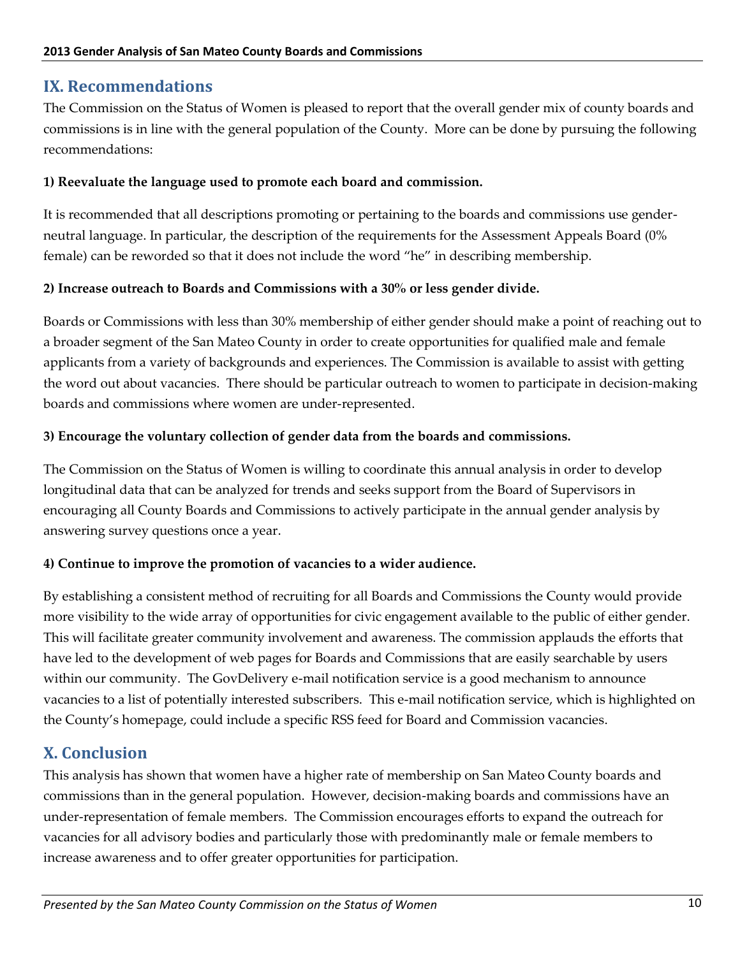## **IX. Recommendations**

The Commission on the Status of Women is pleased to report that the overall gender mix of county boards and commissions is in line with the general population of the County. More can be done by pursuing the following recommendations:

#### **1) Reevaluate the language used to promote each board and commission.**

It is recommended that all descriptions promoting or pertaining to the boards and commissions use genderneutral language. In particular, the description of the requirements for the Assessment Appeals Board (0% female) can be reworded so that it does not include the word "he" in describing membership.

#### **2) Increase outreach to Boards and Commissions with a 30% or less gender divide.**

Boards or Commissions with less than 30% membership of either gender should make a point of reaching out to a broader segment of the San Mateo County in order to create opportunities for qualified male and female applicants from a variety of backgrounds and experiences. The Commission is available to assist with getting the word out about vacancies. There should be particular outreach to women to participate in decision-making boards and commissions where women are under-represented.

#### **3) Encourage the voluntary collection of gender data from the boards and commissions.**

The Commission on the Status of Women is willing to coordinate this annual analysis in order to develop longitudinal data that can be analyzed for trends and seeks support from the Board of Supervisors in encouraging all County Boards and Commissions to actively participate in the annual gender analysis by answering survey questions once a year.

#### **4) Continue to improve the promotion of vacancies to a wider audience.**

By establishing a consistent method of recruiting for all Boards and Commissions the County would provide more visibility to the wide array of opportunities for civic engagement available to the public of either gender. This will facilitate greater community involvement and awareness. The commission applauds the efforts that have led to the development of web pages for Boards and Commissions that are easily searchable by users within our community. The GovDelivery e-mail notification service is a good mechanism to announce vacancies to a list of potentially interested subscribers. This e-mail notification service, which is highlighted on the County's homepage, could include a specific RSS feed for Board and Commission vacancies.

# **X. Conclusion**

This analysis has shown that women have a higher rate of membership on San Mateo County boards and commissions than in the general population. However, decision-making boards and commissions have an under-representation of female members. The Commission encourages efforts to expand the outreach for vacancies for all advisory bodies and particularly those with predominantly male or female members to increase awareness and to offer greater opportunities for participation.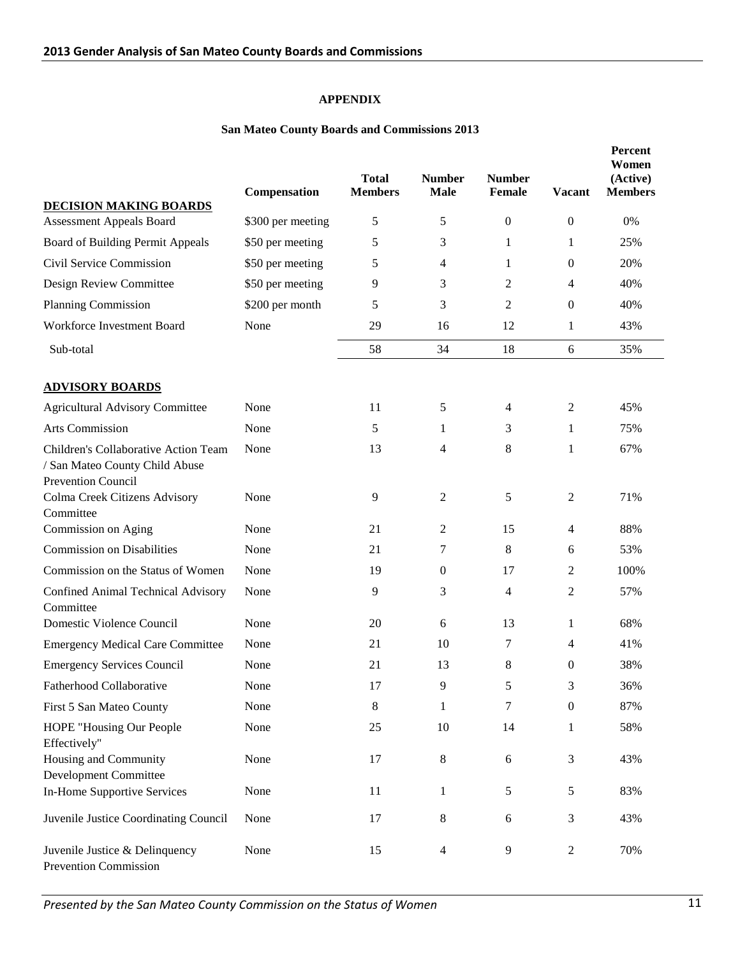#### **APPENDIX**

#### **San Mateo County Boards and Commissions 2013**

| <b>DECISION MAKING BOARDS</b>                                                                | Compensation      | <b>Total</b><br><b>Members</b> | <b>Number</b><br><b>Male</b> | <b>Number</b><br>Female | <b>Vacant</b>    | Percent<br>Women<br>(Active)<br><b>Members</b> |
|----------------------------------------------------------------------------------------------|-------------------|--------------------------------|------------------------------|-------------------------|------------------|------------------------------------------------|
| <b>Assessment Appeals Board</b>                                                              | \$300 per meeting | 5                              | 5                            | $\boldsymbol{0}$        | $\mathbf{0}$     | 0%                                             |
| Board of Building Permit Appeals                                                             | \$50 per meeting  | 5                              | 3                            | 1                       | 1                | 25%                                            |
| Civil Service Commission                                                                     | \$50 per meeting  | 5                              | 4                            | 1                       | $\mathbf{0}$     | 20%                                            |
| Design Review Committee                                                                      | \$50 per meeting  | 9                              | 3                            | 2                       | $\overline{4}$   | 40%                                            |
| Planning Commission                                                                          | \$200 per month   | 5                              | 3                            | 2                       | $\boldsymbol{0}$ | 40%                                            |
| Workforce Investment Board                                                                   | None              | 29                             | 16                           | 12                      | $\mathbf{1}$     | 43%                                            |
| Sub-total                                                                                    |                   | 58                             | 34                           | 18                      | 6                | 35%                                            |
| <b>ADVISORY BOARDS</b>                                                                       |                   |                                |                              |                         |                  |                                                |
| <b>Agricultural Advisory Committee</b>                                                       | None              | 11                             | 5                            | 4                       | $\overline{2}$   | 45%                                            |
| <b>Arts Commission</b>                                                                       | None              | 5                              | 1                            | 3                       | 1                | 75%                                            |
| Children's Collaborative Action Team<br>/ San Mateo County Child Abuse<br>Prevention Council | None              | 13                             | $\overline{4}$               | 8                       | 1                | 67%                                            |
| Colma Creek Citizens Advisory<br>Committee                                                   | None              | 9                              | $\sqrt{2}$                   | 5                       | $\overline{2}$   | 71%                                            |
| Commission on Aging                                                                          | None              | 21                             | $\overline{c}$               | 15                      | $\overline{4}$   | 88%                                            |
| <b>Commission on Disabilities</b>                                                            | None              | 21                             | 7                            | 8                       | 6                | 53%                                            |
| Commission on the Status of Women                                                            | None              | 19                             | $\boldsymbol{0}$             | 17                      | 2                | 100%                                           |
| Confined Animal Technical Advisory<br>Committee                                              | None              | 9                              | 3                            | 4                       | $\overline{2}$   | 57%                                            |
| Domestic Violence Council                                                                    | None              | 20                             | 6                            | 13                      | 1                | 68%                                            |
| <b>Emergency Medical Care Committee</b>                                                      | None              | 21                             | 10                           | 7                       | 4                | 41%                                            |
| <b>Emergency Services Council</b>                                                            | None              | 21                             | 13                           | 8                       | $\theta$         | 38%                                            |
| Fatherhood Collaborative                                                                     | None              | 17                             | 9                            | 5                       | 3                | 36%                                            |
| First 5 San Mateo County                                                                     | None              | 8                              | $\mathbf{1}$                 | 7                       | $\boldsymbol{0}$ | 87%                                            |
| HOPE "Housing Our People<br>Effectively"                                                     | None              | 25                             | 10                           | 14                      | 1                | 58%                                            |
| Housing and Community<br><b>Development Committee</b>                                        | None              | 17                             | $\,8\,$                      | 6                       | 3                | 43%                                            |
| In-Home Supportive Services                                                                  | None              | 11                             | 1                            | 5                       | 5                | 83%                                            |
| Juvenile Justice Coordinating Council                                                        | None              | 17                             | $\,8\,$                      | 6                       | 3                | 43%                                            |
| Juvenile Justice & Delinquency<br>Prevention Commission                                      | None              | 15                             | $\overline{4}$               | 9                       | $\overline{c}$   | 70%                                            |